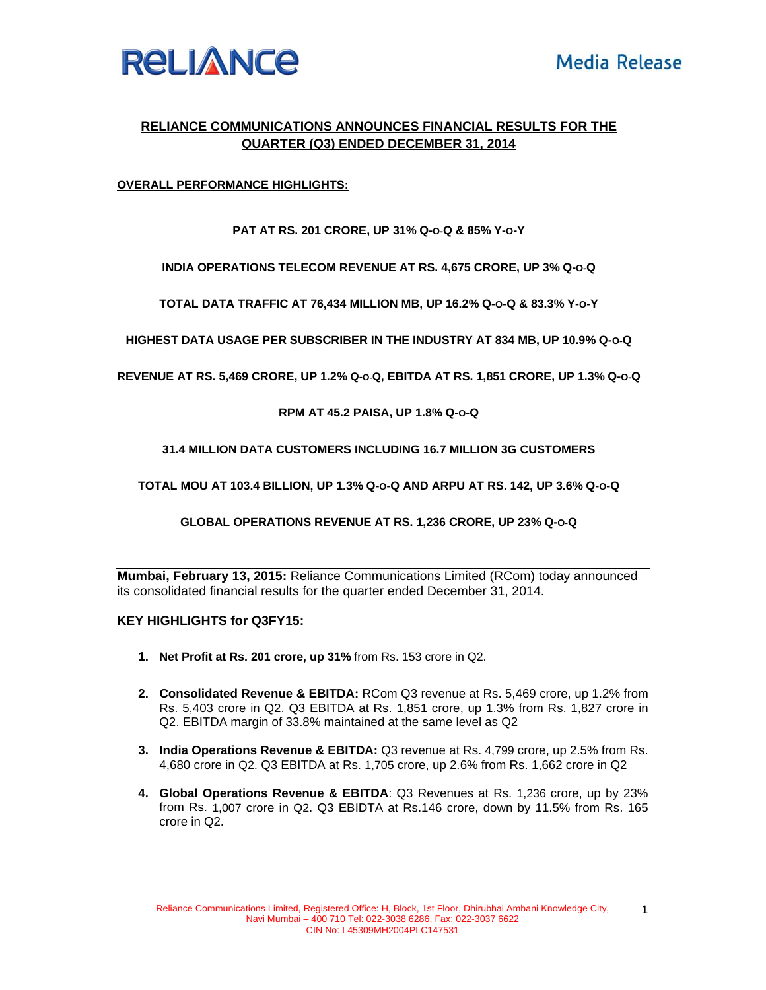

# **RELIANCE COMMUNICATIONS ANNOUNCES FINANCIAL RESULTS FOR THE QUARTER (Q3) ENDED DECEMBER 31, 2014**

# **OVERALL PERFORMANCE HIGHLIGHTS:**

### **PAT AT RS. 201 CRORE, UP 31% Q-O-Q & 85% Y-O-Y**

**INDIA OPERATIONS TELECOM REVENUE AT RS. 4,675 CRORE, UP 3% Q-O-Q** 

**TOTAL DATA TRAFFIC AT 76,434 MILLION MB, UP 16.2% Q-O-Q & 83.3% Y-O-Y** 

**HIGHEST DATA USAGE PER SUBSCRIBER IN THE INDUSTRY AT 834 MB, UP 10.9% Q-O-Q**

**REVENUE AT RS. 5,469 CRORE, UP 1.2% Q-O-Q, EBITDA AT RS. 1,851 CRORE, UP 1.3% Q-O-Q** 

#### **RPM AT 45.2 PAISA, UP 1.8% Q-O-Q**

#### **31.4 MILLION DATA CUSTOMERS INCLUDING 16.7 MILLION 3G CUSTOMERS**

**TOTAL MOU AT 103.4 BILLION, UP 1.3% Q-O-Q AND ARPU AT RS. 142, UP 3.6% Q-O-Q** 

**GLOBAL OPERATIONS REVENUE AT RS. 1,236 CRORE, UP 23% Q-O-Q** 

**Mumbai, February 13, 2015:** Reliance Communications Limited (RCom) today announced its consolidated financial results for the quarter ended December 31, 2014.

#### **KEY HIGHLIGHTS for Q3FY15:**

- **1. Net Profit at Rs. 201 crore, up 31%** from Rs. 153 crore in Q2.
- **2. Consolidated Revenue & EBITDA:** RCom Q3 revenue at Rs. 5,469 crore, up 1.2% from Rs. 5,403 crore in Q2. Q3 EBITDA at Rs. 1,851 crore, up 1.3% from Rs. 1,827 crore in Q2. EBITDA margin of 33.8% maintained at the same level as Q2
- **3. India Operations Revenue & EBITDA:** Q3 revenue at Rs. 4,799 crore, up 2.5% from Rs. 4,680 crore in Q2. Q3 EBITDA at Rs. 1,705 crore, up 2.6% from Rs. 1,662 crore in Q2
- **4. Global Operations Revenue & EBITDA**: Q3 Revenues at Rs. 1,236 crore, up by 23% from Rs. 1,007 crore in Q2. Q3 EBIDTA at Rs.146 crore, down by 11.5% from Rs. 165 crore in Q2.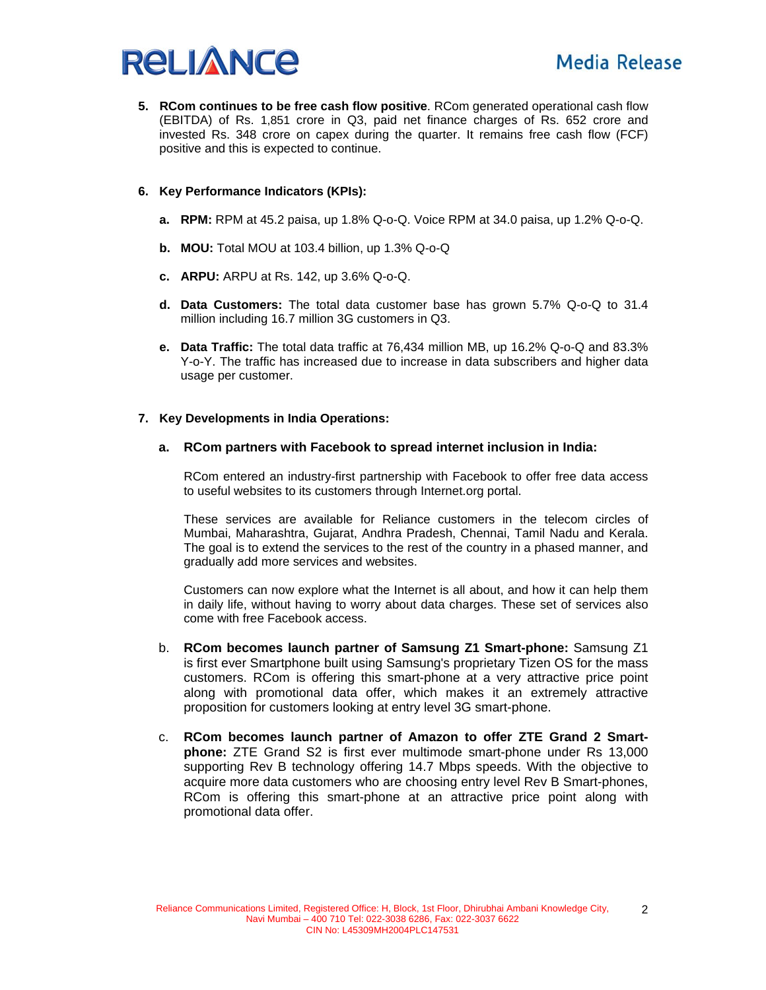

**5. RCom continues to be free cash flow positive**. RCom generated operational cash flow (EBITDA) of Rs. 1,851 crore in Q3, paid net finance charges of Rs. 652 crore and invested Rs. 348 crore on capex during the quarter. It remains free cash flow (FCF) positive and this is expected to continue.

# **6. Key Performance Indicators (KPIs):**

- **a. RPM:** RPM at 45.2 paisa, up 1.8% Q-o-Q. Voice RPM at 34.0 paisa, up 1.2% Q-o-Q.
- **b. MOU:** Total MOU at 103.4 billion, up 1.3% Q-o-Q
- **c. ARPU:** ARPU at Rs. 142, up 3.6% Q-o-Q.
- **d. Data Customers:** The total data customer base has grown 5.7% Q-o-Q to 31.4 million including 16.7 million 3G customers in Q3.
- **e. Data Traffic:** The total data traffic at 76,434 million MB, up 16.2% Q-o-Q and 83.3% Y-o-Y. The traffic has increased due to increase in data subscribers and higher data usage per customer.

#### **7. Key Developments in India Operations:**

#### **a. RCom partners with Facebook to spread internet inclusion in India:**

RCom entered an industry-first partnership with Facebook to offer free data access to useful websites to its customers through Internet.org portal.

These services are available for Reliance customers in the telecom circles of Mumbai, Maharashtra, Gujarat, Andhra Pradesh, Chennai, Tamil Nadu and Kerala. The goal is to extend the services to the rest of the country in a phased manner, and gradually add more services and websites.

Customers can now explore what the Internet is all about, and how it can help them in daily life, without having to worry about data charges. These set of services also come with free Facebook access.

- b. **RCom becomes launch partner of Samsung Z1 Smart-phone:** Samsung Z1 is first ever Smartphone built using Samsung's proprietary Tizen OS for the mass customers. RCom is offering this smart-phone at a very attractive price point along with promotional data offer, which makes it an extremely attractive proposition for customers looking at entry level 3G smart-phone.
- c. **RCom becomes launch partner of Amazon to offer ZTE Grand 2 Smartphone:** ZTE Grand S2 is first ever multimode smart-phone under Rs 13,000 supporting Rev B technology offering 14.7 Mbps speeds. With the objective to acquire more data customers who are choosing entry level Rev B Smart-phones, RCom is offering this smart-phone at an attractive price point along with promotional data offer.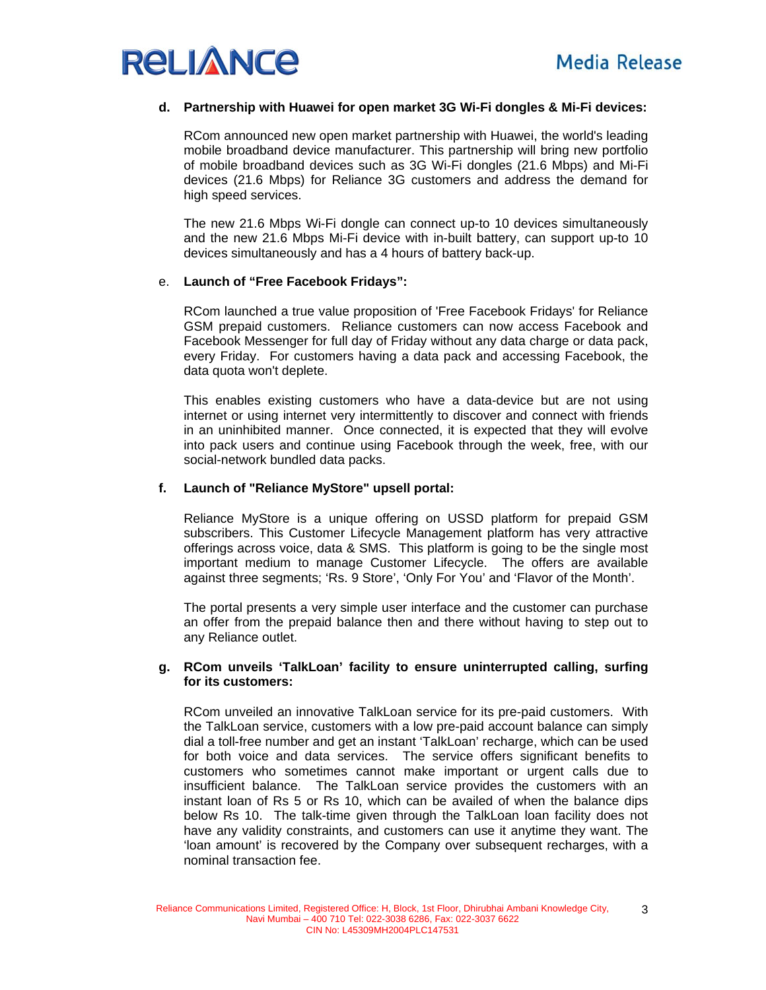

# **d. Partnership with Huawei for open market 3G Wi-Fi dongles & Mi-Fi devices:**

RCom announced new open market partnership with Huawei, the world's leading mobile broadband device manufacturer. This partnership will bring new portfolio of mobile broadband devices such as 3G Wi-Fi dongles (21.6 Mbps) and Mi-Fi devices (21.6 Mbps) for Reliance 3G customers and address the demand for high speed services.

The new 21.6 Mbps Wi-Fi dongle can connect up-to 10 devices simultaneously and the new 21.6 Mbps Mi-Fi device with in-built battery, can support up-to 10 devices simultaneously and has a 4 hours of battery back-up.

#### e. **Launch of "Free Facebook Fridays":**

RCom launched a true value proposition of 'Free Facebook Fridays' for Reliance GSM prepaid customers. Reliance customers can now access Facebook and Facebook Messenger for full day of Friday without any data charge or data pack, every Friday. For customers having a data pack and accessing Facebook, the data quota won't deplete.

This enables existing customers who have a data-device but are not using internet or using internet very intermittently to discover and connect with friends in an uninhibited manner. Once connected, it is expected that they will evolve into pack users and continue using Facebook through the week, free, with our social-network bundled data packs.

# **f. Launch of "Reliance MyStore" upsell portal:**

Reliance MyStore is a unique offering on USSD platform for prepaid GSM subscribers. This Customer Lifecycle Management platform has very attractive offerings across voice, data & SMS. This platform is going to be the single most important medium to manage Customer Lifecycle. The offers are available against three segments; 'Rs. 9 Store', 'Only For You' and 'Flavor of the Month'.

The portal presents a very simple user interface and the customer can purchase an offer from the prepaid balance then and there without having to step out to any Reliance outlet.

#### **g. RCom unveils 'TalkLoan' facility to ensure uninterrupted calling, surfing for its customers:**

RCom unveiled an innovative TalkLoan service for its pre-paid customers. With the TalkLoan service, customers with a low pre-paid account balance can simply dial a toll-free number and get an instant 'TalkLoan' recharge, which can be used for both voice and data services. The service offers significant benefits to customers who sometimes cannot make important or urgent calls due to insufficient balance. The TalkLoan service provides the customers with an instant loan of Rs 5 or Rs 10, which can be availed of when the balance dips below Rs 10. The talk-time given through the TalkLoan loan facility does not have any validity constraints, and customers can use it anytime they want. The 'loan amount' is recovered by the Company over subsequent recharges, with a nominal transaction fee.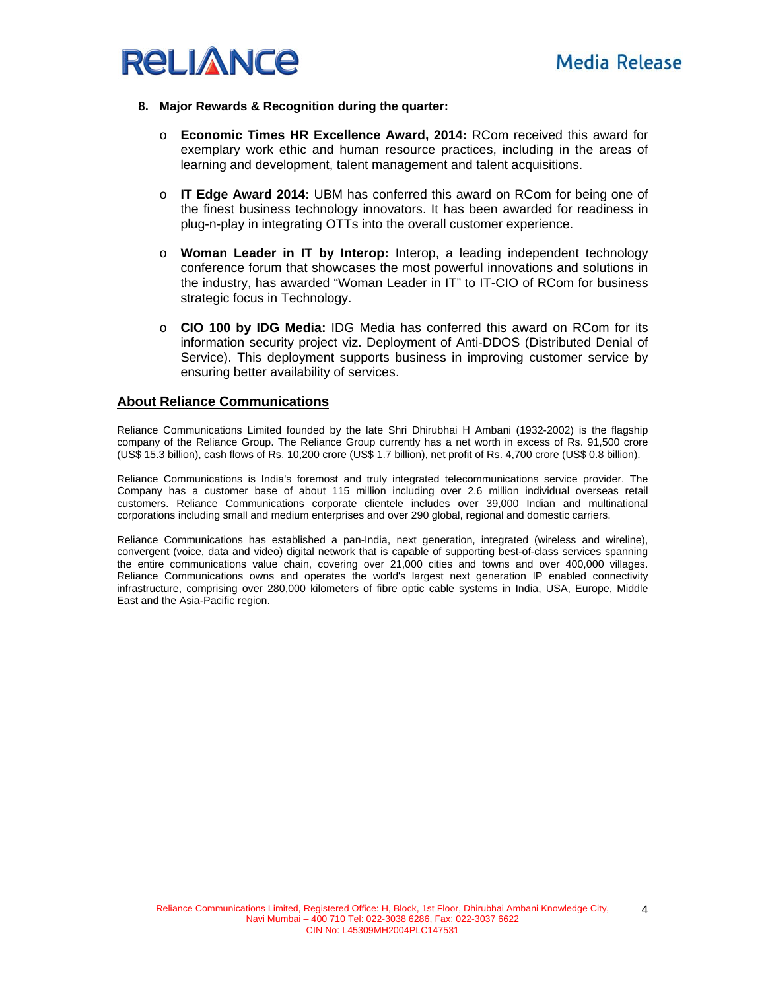

#### **8. Major Rewards & Recognition during the quarter:**

- o **Economic Times HR Excellence Award, 2014:** RCom received this award for exemplary work ethic and human resource practices, including in the areas of learning and development, talent management and talent acquisitions.
- o **IT Edge Award 2014:** UBM has conferred this award on RCom for being one of the finest business technology innovators. It has been awarded for readiness in plug-n-play in integrating OTTs into the overall customer experience.
- o **Woman Leader in IT by Interop:** Interop, a leading independent technology conference forum that showcases the most powerful innovations and solutions in the industry, has awarded "Woman Leader in IT" to IT-CIO of RCom for business strategic focus in Technology.
- o **CIO 100 by IDG Media:** IDG Media has conferred this award on RCom for its information security project viz. Deployment of Anti-DDOS (Distributed Denial of Service). This deployment supports business in improving customer service by ensuring better availability of services.

#### **About Reliance Communications**

Reliance Communications Limited founded by the late Shri Dhirubhai H Ambani (1932-2002) is the flagship company of the Reliance Group. The Reliance Group currently has a net worth in excess of Rs. 91,500 crore (US\$ 15.3 billion), cash flows of Rs. 10,200 crore (US\$ 1.7 billion), net profit of Rs. 4,700 crore (US\$ 0.8 billion).

Reliance Communications is India's foremost and truly integrated telecommunications service provider. The Company has a customer base of about 115 million including over 2.6 million individual overseas retail customers. Reliance Communications corporate clientele includes over 39,000 Indian and multinational corporations including small and medium enterprises and over 290 global, regional and domestic carriers.

Reliance Communications has established a pan-India, next generation, integrated (wireless and wireline), convergent (voice, data and video) digital network that is capable of supporting best-of-class services spanning the entire communications value chain, covering over 21,000 cities and towns and over 400,000 villages. Reliance Communications owns and operates the world's largest next generation IP enabled connectivity infrastructure, comprising over 280,000 kilometers of fibre optic cable systems in India, USA, Europe, Middle East and the Asia-Pacific region.